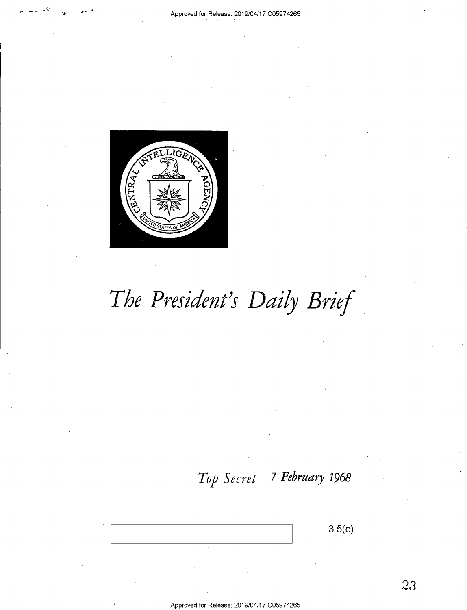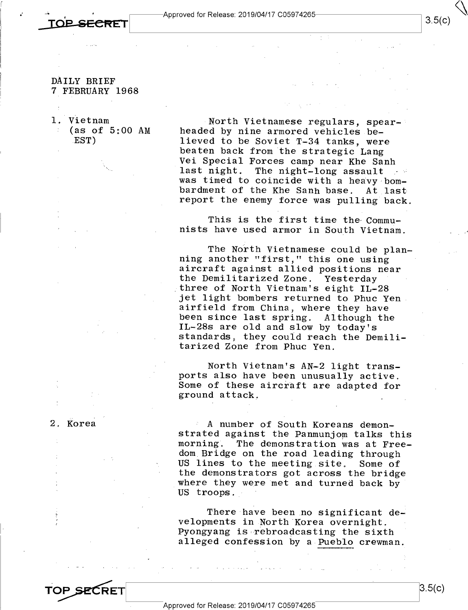**OB SECRET** 

—'~

## DAILY BRIEF 7 FEBRUARY 1968

l. Vietnam  $(as of 5:00 AM)$ .EST)

North Vietnamese regulars, spear-<br>headed by nine armored vehicles be-<br>lieved to be Soviet T-34 tanks, were<br>beaten back from the strategic Lang<br>Vei Special Forces camp near Khe Sanh<br>last night. The night-long assault<br>was ti bardment of the Khe Sanh base. At last<br>report the enemy force was pulling back.

This is the first time the Commu- nists have used armor in South Vietnam.

The North Vietnamese could be plan-<br>ning another "first," this one using<br>aircraft against allied positions near<br>the Demilitarized Zone. Yesterday<br>three of North Vietnam's eight IL-28 jet light bombers returned to Phuc Yen<br>airfield from China, where they have<br>been since last spring. Although the<br>IL-28s are old and slow by today's standards, they could reach the Demili- tarized Zone from Phuc Yen.

North Vietnam's AN-2 light trans-<br>ports also have been unusually active.<br>Some of these aircraft are adapted for<br>ground attack.

2. Korea

IA number of South Koreans demon-<br>strated against the Panmunjom talks this<br>morning. The demonstration was at Free-<br>dom Bridge on the road leading through<br>US lines to the meeting site. Some of the demonstrators got across the bridge<br>where they were met and turned back by US troops.

There have been no significant de-<br>velopments in North Korea overnight.<br>Pyongyang is rebroadcasting the sixth alleged confession by a Pueblo crewman.

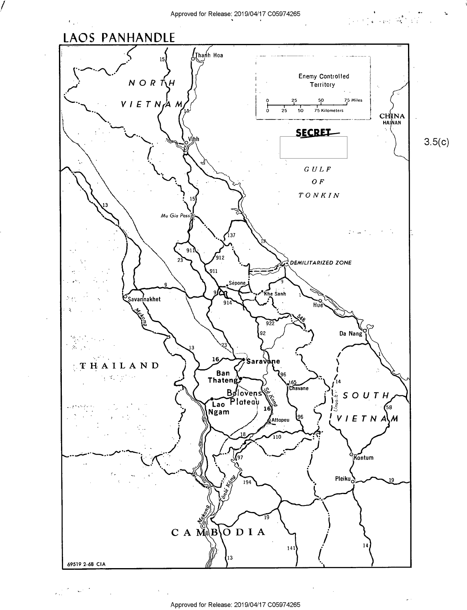$\mathbf{b}$ 



 $\label{eq:2} \mathcal{P} = \mathcal{Q} \mathcal{P} \left( \mathcal{P} \right) \mathcal{P} \left( \mathcal{P} \right)$ 

 $\lambda_{\rm max}$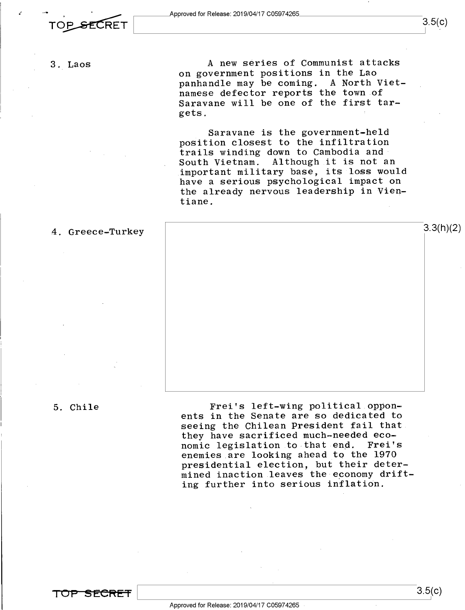3. Laos A new series of Communist attacks on government positions in the Lao panhandle may be coming. A North Vietnamese defector reports the town of Saravane will be one of the first tar-<br>gets.  $\mathbf{gets.}$ 

> Saravane is the government-held position closest to the infiltration trails winding down to Cambodia and<br>South Vietnam. Although it is not a Although it is not an important military base, its loss would have a serious psychological impact on the already nervous leadership in Vientiane.

4. Greece-Turkey  $3.3(h)(2)$ 

5. Chile Frei's left-wing political.opponents in the Senate are so dedicated to seeing the Chilean President fail that they have sacrificed much-needed eco-<br>nomic legislation to that end. Frei's nomic legislation to that end. enemies are looking ahead to the 1970 presidential election, but their determined inaction leaves the-economy drifting further into serious inflation.

TOP SECRET

 $3.5(c)$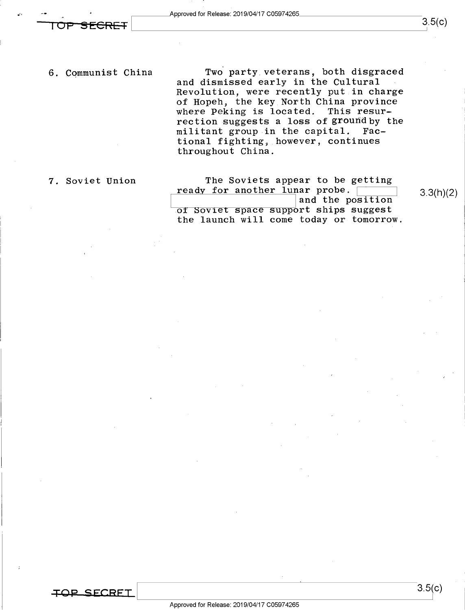$\overline{OPP}$  SECRET  $\overline{OPP}$ 

-~ <sup>4</sup>.

6. Communist China

Two party veterans, both disgraced and dismissed early in the Cultural Revolution, were recently put in charge of Hopeh, the key North China province where Peking is located. This resurrection suggests a loss of ground by the<br>militant group in the capital. Facmilitant group in the capital. tional fighting, however, continues throughout China.

7. Soviet Union

The Soviets appear to be getting ready for another lunar probe. and the position of Soviet space support ships suggest the launch will come today or tomorrow.

3.3(h)(2)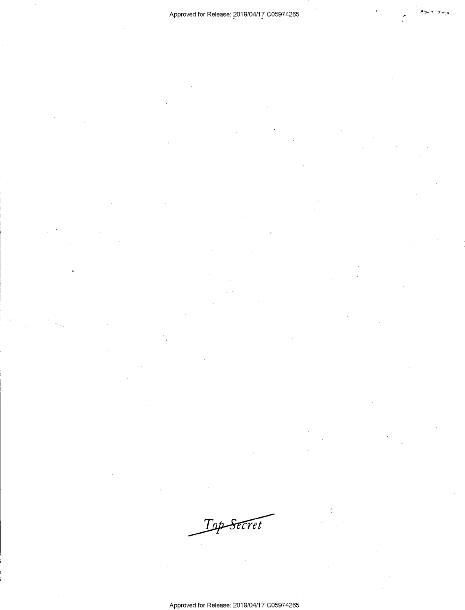Top Secret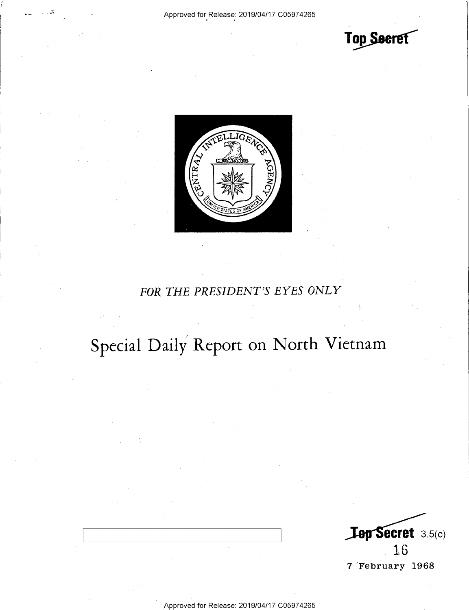Top Seeret



# FOR THE PRESIDENT'S EYES ONLY

# Special Daily Report on North Vietnam

**Lep Secret** 3.5(c) 16 7 February 1968

Approved for Release: 2019/04/17 C05974265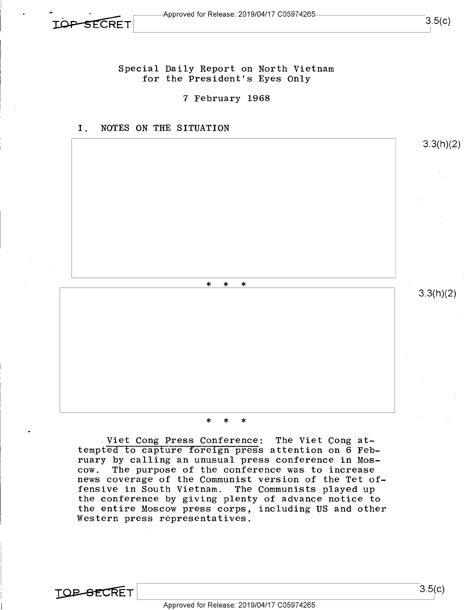-3

Special Daily Report on North Vietnam for the President's Eyes Only

7 February 1968





\* \* \*

Viet Cong Press Conference: The Viet Cong attempted to capture foreign press attention on 6 February by calling an unusual press conference in Mos-The purpose of the conference was to increase news coverage of the Communist version of the Tet offensive in South Vietnam. The Communists played up the conference by giving plenty of advance notice to the entire Moscow press corps, including US and other Western press representatives.

**TOP-SECRET**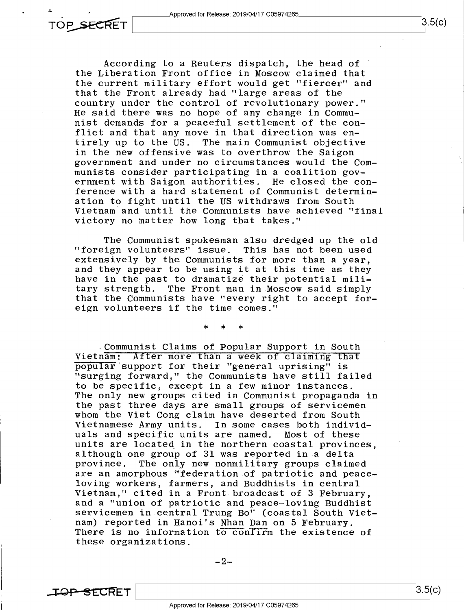

According to a Reuters dispatch, the head of the Liberation Front office in Moscow claimed that the current military effort would get "fiercer" and that the Front already had "large areas of the country under the control of revolutionary power." He said there was no hope of any change in Communist demands for a peaceful settlement of the conflict and that any move in that direction was entirely up to the US. The main Communist objective in the new offensive was to overthrow the Saigon government and under no circumstances would the Communists consider participating in a coalition government with Saigon authorities. He closed the conference with a hard statement of Communist determin-<br>ation to fight until the US withdraws from South Vietnam and until the Communists have achieved "final victory no matter how long that takes."

The Communist spokesman also dredged up the old<br>"foreign volunteers" issue. This has not been used<br>extensively by the Communists for more than a year. and they appear to be using it at this time as they have in the past to dramatize their potential mili-<br>tary strength. The Front man in Moscow said simply The Front man in Moscow said simply that the Communists have "every right to accept foreign volunteers if the time comes."

\* \* \*

Communist Claims of Popular Support in South<br>Vietnam: After more than a week of claiming that popular'support for their "general uprising" is "surging forward," the Communists have still failed<br>to be specific, except in a few minor instances. The only new groups cited in Communist propaganda in the past three days are small groups of servicemen whom the Viet Cong claim have deserted from South Vietnamese Army units. In some cases both individuals and specific units are named. Most of these<br>units are located in the northern coastal provinces. although one group of 31 was reported in a delta province. The only new nonmilitary groups claimed are an amorphous "federation of patriotic and peace-<br>loving workers, farmers, and Buddhists in central Vietnam," cited in a Front broadcast of 3 February,<br>and a "union of patriotic and peace-loving Buddhist<br>servicemen in central Trung Bo" (coastal South Vietnam) reported in Hanoi's Nhan Dan on 5 February.<br>There is no information to contirm the existence of these organizations.

-2-

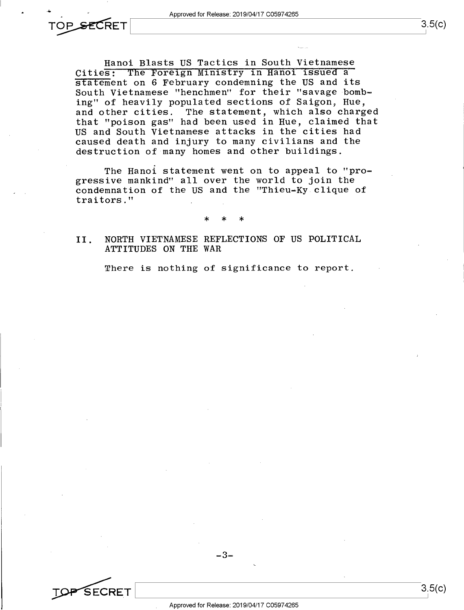Hanoi Blasts US Tactics in South Vietnamese Cities: The Foreign Ministry in Hanoi issued a statement on 6 February condemning the US and its South Vietnamese "henchmen" for their "savage bombing" of heavily populated sections of Saigon, Hue, and other cities. The statement, which also charged that "poison gas" had been used in Hue, claimed that US and South Vietnamese attacks in the cities had caused death and injury to many civilians and the destruction of many homes and other buildings.

The Hanoi statement went on to appeal to "progressive mankind" all over the world to join the condemnation of the US and the "Thieu—Ky clique of traitors."

\* \* \*

## II. NORTH VIETNAMESE REFLECTIONS OF US POLITICAL ATTITUDES ON THE WAR

There is nothing of significance to report.



-3-

 $3.5(c)$